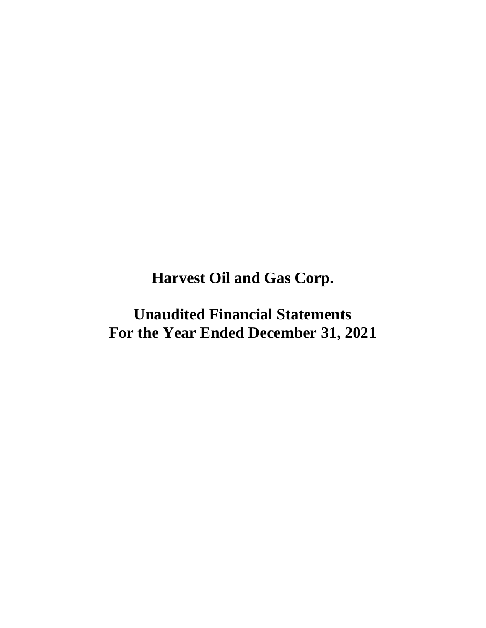**Harvest Oil and Gas Corp.**

**Unaudited Financial Statements For the Year Ended December 31, 2021**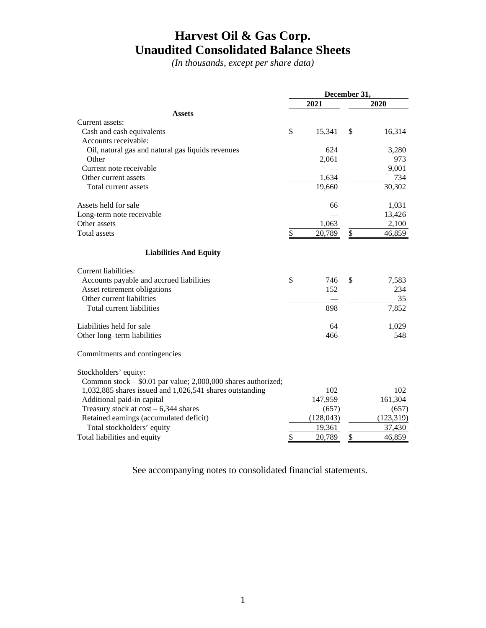### **Harvest Oil & Gas Corp. Unaudited Consolidated Balance Sheets**

*(In thousands, except per share data)*

|                                                               | December 31, |            |    |            |  |
|---------------------------------------------------------------|--------------|------------|----|------------|--|
|                                                               |              | 2021       |    | 2020       |  |
| <b>Assets</b>                                                 |              |            |    |            |  |
| Current assets:                                               |              |            |    |            |  |
| Cash and cash equivalents                                     | \$           | 15,341     | \$ | 16,314     |  |
| Accounts receivable:                                          |              |            |    |            |  |
| Oil, natural gas and natural gas liquids revenues             |              | 624        |    | 3,280      |  |
| Other                                                         |              | 2,061      |    | 973        |  |
| Current note receivable                                       |              |            |    | 9,001      |  |
| Other current assets                                          |              | 1,634      |    | 734        |  |
| Total current assets                                          |              | 19,660     |    | 30,302     |  |
| Assets held for sale                                          |              | 66         |    | 1,031      |  |
| Long-term note receivable                                     |              |            |    | 13,426     |  |
| Other assets                                                  |              | 1,063      |    | 2,100      |  |
| <b>Total assets</b>                                           | \$           | 20,789     | \$ | 46,859     |  |
| <b>Liabilities And Equity</b>                                 |              |            |    |            |  |
| Current liabilities:                                          |              |            |    |            |  |
| Accounts payable and accrued liabilities                      | \$           | 746        | \$ | 7,583      |  |
| Asset retirement obligations                                  |              | 152        |    | 234        |  |
| Other current liabilities                                     |              |            |    | 35         |  |
| Total current liabilities                                     |              | 898        |    | 7,852      |  |
| Liabilities held for sale                                     |              | 64         |    | 1,029      |  |
| Other long-term liabilities                                   |              | 466        |    | 548        |  |
| Commitments and contingencies                                 |              |            |    |            |  |
| Stockholders' equity:                                         |              |            |    |            |  |
| Common stock – \$0.01 par value; 2,000,000 shares authorized; |              |            |    |            |  |
| 1,032,885 shares issued and 1,026,541 shares outstanding      |              | 102        |    | 102        |  |
| Additional paid-in capital                                    |              | 147,959    |    | 161,304    |  |
| Treasury stock at $cost - 6,344$ shares                       |              | (657)      |    | (657)      |  |
| Retained earnings (accumulated deficit)                       |              | (128, 043) |    | (123, 319) |  |
| Total stockholders' equity                                    |              | 19,361     |    | 37,430     |  |
| Total liabilities and equity                                  | \$           | 20,789     | \$ | 46,859     |  |

See accompanying notes to consolidated financial statements.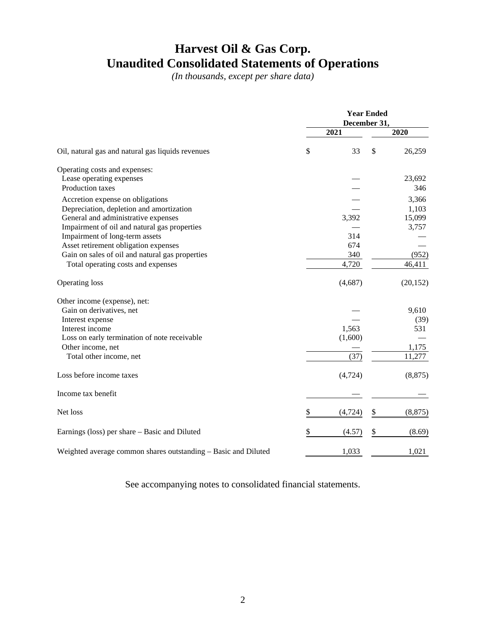### **Harvest Oil & Gas Corp. Unaudited Consolidated Statements of Operations**

*(In thousands, except per share data)*

|                                                                | <b>Year Ended</b><br>December 31, |          |    |           |
|----------------------------------------------------------------|-----------------------------------|----------|----|-----------|
|                                                                |                                   | 2021     |    | 2020      |
| Oil, natural gas and natural gas liquids revenues              | \$                                | 33       | \$ | 26,259    |
| Operating costs and expenses:                                  |                                   |          |    |           |
| Lease operating expenses                                       |                                   |          |    | 23,692    |
| Production taxes                                               |                                   |          |    | 346       |
| Accretion expense on obligations                               |                                   |          |    | 3,366     |
| Depreciation, depletion and amortization                       |                                   |          |    | 1,103     |
| General and administrative expenses                            |                                   | 3,392    |    | 15,099    |
| Impairment of oil and natural gas properties                   |                                   |          |    | 3,757     |
| Impairment of long-term assets                                 |                                   | 314      |    |           |
| Asset retirement obligation expenses                           |                                   | 674      |    |           |
| Gain on sales of oil and natural gas properties                |                                   | 340      |    | (952)     |
| Total operating costs and expenses                             |                                   | 4,720    |    | 46,411    |
| Operating loss                                                 |                                   | (4,687)  |    | (20, 152) |
| Other income (expense), net:                                   |                                   |          |    |           |
| Gain on derivatives, net                                       |                                   |          |    | 9,610     |
| Interest expense                                               |                                   |          |    | (39)      |
| Interest income                                                |                                   | 1,563    |    | 531       |
| Loss on early termination of note receivable                   |                                   | (1,600)  |    |           |
| Other income, net                                              |                                   |          |    | 1,175     |
| Total other income, net                                        |                                   | (37)     |    | 11,277    |
| Loss before income taxes                                       |                                   | (4, 724) |    | (8, 875)  |
| Income tax benefit                                             |                                   |          |    |           |
| Net loss                                                       | \$                                | (4, 724) | \$ | (8, 875)  |
| Earnings (loss) per share – Basic and Diluted                  | \$                                | (4.57)   | \$ | (8.69)    |
| Weighted average common shares outstanding - Basic and Diluted |                                   | 1,033    |    | 1,021     |

See accompanying notes to consolidated financial statements.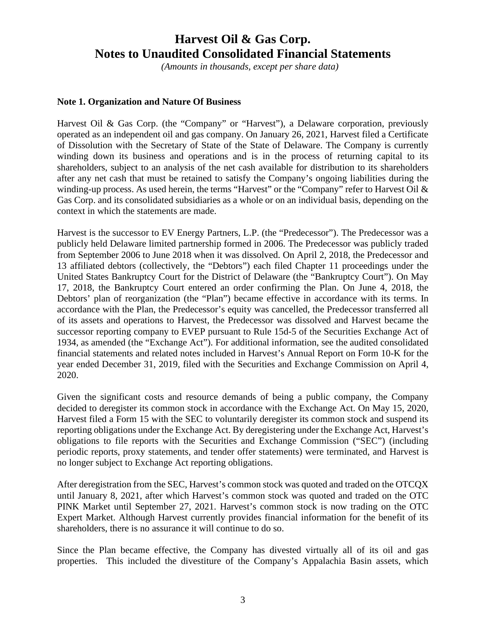*(Amounts in thousands, except per share data)*

#### **Note 1. Organization and Nature Of Business**

Harvest Oil & Gas Corp. (the "Company" or "Harvest"), a Delaware corporation, previously operated as an independent oil and gas company. On January 26, 2021, Harvest filed a Certificate of Dissolution with the Secretary of State of the State of Delaware. The Company is currently winding down its business and operations and is in the process of returning capital to its shareholders, subject to an analysis of the net cash available for distribution to its shareholders after any net cash that must be retained to satisfy the Company's ongoing liabilities during the winding-up process. As used herein, the terms "Harvest" or the "Company" refer to Harvest Oil & Gas Corp. and its consolidated subsidiaries as a whole or on an individual basis, depending on the context in which the statements are made.

Harvest is the successor to EV Energy Partners, L.P. (the "Predecessor"). The Predecessor was a publicly held Delaware limited partnership formed in 2006. The Predecessor was publicly traded from September 2006 to June 2018 when it was dissolved. On April 2, 2018, the Predecessor and 13 affiliated debtors (collectively, the "Debtors") each filed Chapter 11 proceedings under the United States Bankruptcy Court for the District of Delaware (the "Bankruptcy Court"). On May 17, 2018, the Bankruptcy Court entered an order confirming the Plan. On June 4, 2018, the Debtors' plan of reorganization (the "Plan") became effective in accordance with its terms. In accordance with the Plan, the Predecessor's equity was cancelled, the Predecessor transferred all of its assets and operations to Harvest, the Predecessor was dissolved and Harvest became the successor reporting company to EVEP pursuant to Rule 15d-5 of the Securities Exchange Act of 1934, as amended (the "Exchange Act"). For additional information, see the audited consolidated financial statements and related notes included in Harvest's Annual Report on Form 10-K for the year ended December 31, 2019, filed with the Securities and Exchange Commission on April 4, 2020.

Given the significant costs and resource demands of being a public company, the Company decided to deregister its common stock in accordance with the Exchange Act. On May 15, 2020, Harvest filed a Form 15 with the SEC to voluntarily deregister its common stock and suspend its reporting obligations under the Exchange Act. By deregistering under the Exchange Act, Harvest's obligations to file reports with the Securities and Exchange Commission ("SEC") (including periodic reports, proxy statements, and tender offer statements) were terminated, and Harvest is no longer subject to Exchange Act reporting obligations.

After deregistration from the SEC, Harvest's common stock was quoted and traded on the OTCQX until January 8, 2021, after which Harvest's common stock was quoted and traded on the OTC PINK Market until September 27, 2021. Harvest's common stock is now trading on the OTC Expert Market. Although Harvest currently provides financial information for the benefit of its shareholders, there is no assurance it will continue to do so.

Since the Plan became effective, the Company has divested virtually all of its oil and gas properties. This included the divestiture of the Company's Appalachia Basin assets, which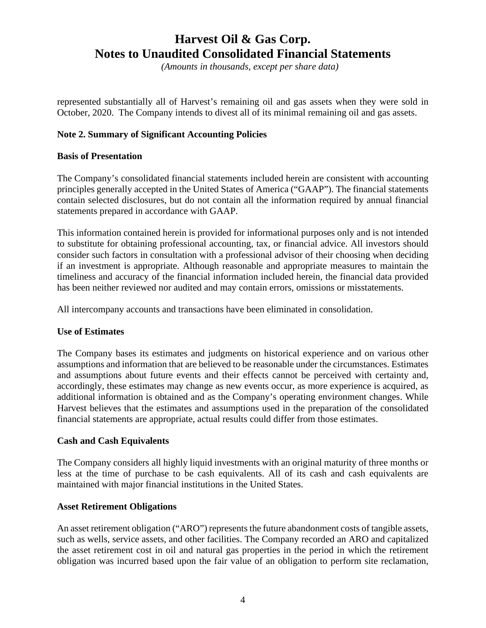*(Amounts in thousands, except per share data)*

represented substantially all of Harvest's remaining oil and gas assets when they were sold in October, 2020. The Company intends to divest all of its minimal remaining oil and gas assets.

### **Note 2. Summary of Significant Accounting Policies**

#### **Basis of Presentation**

The Company's consolidated financial statements included herein are consistent with accounting principles generally accepted in the United States of America ("GAAP"). The financial statements contain selected disclosures, but do not contain all the information required by annual financial statements prepared in accordance with GAAP.

This information contained herein is provided for informational purposes only and is not intended to substitute for obtaining professional accounting, tax, or financial advice. All investors should consider such factors in consultation with a professional advisor of their choosing when deciding if an investment is appropriate. Although reasonable and appropriate measures to maintain the timeliness and accuracy of the financial information included herein, the financial data provided has been neither reviewed nor audited and may contain errors, omissions or misstatements.

All intercompany accounts and transactions have been eliminated in consolidation.

#### **Use of Estimates**

The Company bases its estimates and judgments on historical experience and on various other assumptions and information that are believed to be reasonable under the circumstances. Estimates and assumptions about future events and their effects cannot be perceived with certainty and, accordingly, these estimates may change as new events occur, as more experience is acquired, as additional information is obtained and as the Company's operating environment changes. While Harvest believes that the estimates and assumptions used in the preparation of the consolidated financial statements are appropriate, actual results could differ from those estimates.

#### **Cash and Cash Equivalents**

The Company considers all highly liquid investments with an original maturity of three months or less at the time of purchase to be cash equivalents. All of its cash and cash equivalents are maintained with major financial institutions in the United States.

#### **Asset Retirement Obligations**

An asset retirement obligation ("ARO") represents the future abandonment costs of tangible assets, such as wells, service assets, and other facilities. The Company recorded an ARO and capitalized the asset retirement cost in oil and natural gas properties in the period in which the retirement obligation was incurred based upon the fair value of an obligation to perform site reclamation,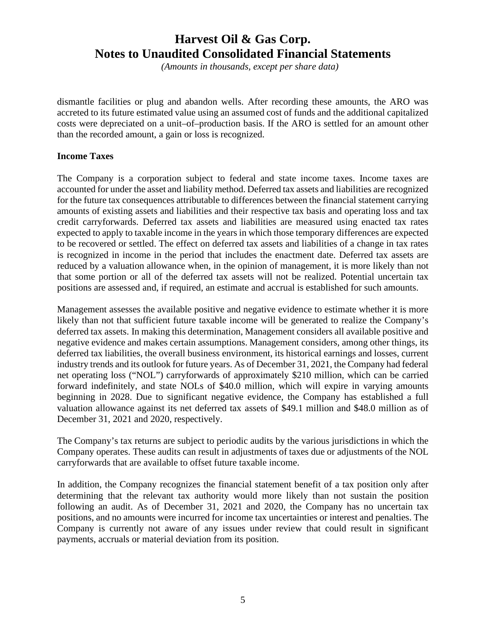*(Amounts in thousands, except per share data)*

dismantle facilities or plug and abandon wells. After recording these amounts, the ARO was accreted to its future estimated value using an assumed cost of funds and the additional capitalized costs were depreciated on a unit–of–production basis. If the ARO is settled for an amount other than the recorded amount, a gain or loss is recognized.

#### **Income Taxes**

The Company is a corporation subject to federal and state income taxes. Income taxes are accounted for under the asset and liability method. Deferred tax assets and liabilities are recognized for the future tax consequences attributable to differences between the financial statement carrying amounts of existing assets and liabilities and their respective tax basis and operating loss and tax credit carryforwards. Deferred tax assets and liabilities are measured using enacted tax rates expected to apply to taxable income in the years in which those temporary differences are expected to be recovered or settled. The effect on deferred tax assets and liabilities of a change in tax rates is recognized in income in the period that includes the enactment date. Deferred tax assets are reduced by a valuation allowance when, in the opinion of management, it is more likely than not that some portion or all of the deferred tax assets will not be realized. Potential uncertain tax positions are assessed and, if required, an estimate and accrual is established for such amounts.

Management assesses the available positive and negative evidence to estimate whether it is more likely than not that sufficient future taxable income will be generated to realize the Company's deferred tax assets. In making this determination, Management considers all available positive and negative evidence and makes certain assumptions. Management considers, among other things, its deferred tax liabilities, the overall business environment, its historical earnings and losses, current industry trends and its outlook for future years. As of December 31, 2021, the Company had federal net operating loss ("NOL") carryforwards of approximately \$210 million, which can be carried forward indefinitely, and state NOLs of \$40.0 million, which will expire in varying amounts beginning in 2028. Due to significant negative evidence, the Company has established a full valuation allowance against its net deferred tax assets of \$49.1 million and \$48.0 million as of December 31, 2021 and 2020, respectively.

The Company's tax returns are subject to periodic audits by the various jurisdictions in which the Company operates. These audits can result in adjustments of taxes due or adjustments of the NOL carryforwards that are available to offset future taxable income.

In addition, the Company recognizes the financial statement benefit of a tax position only after determining that the relevant tax authority would more likely than not sustain the position following an audit. As of December 31, 2021 and 2020, the Company has no uncertain tax positions, and no amounts were incurred for income tax uncertainties or interest and penalties. The Company is currently not aware of any issues under review that could result in significant payments, accruals or material deviation from its position.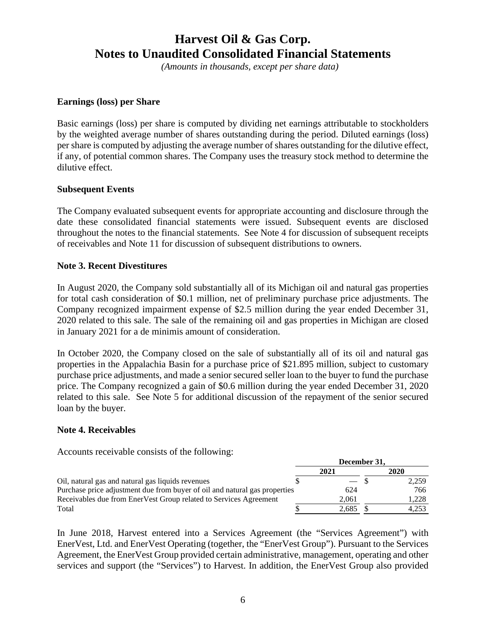*(Amounts in thousands, except per share data)*

#### **Earnings (loss) per Share**

Basic earnings (loss) per share is computed by dividing net earnings attributable to stockholders by the weighted average number of shares outstanding during the period. Diluted earnings (loss) per share is computed by adjusting the average number of shares outstanding for the dilutive effect, if any, of potential common shares. The Company uses the treasury stock method to determine the dilutive effect.

#### **Subsequent Events**

The Company evaluated subsequent events for appropriate accounting and disclosure through the date these consolidated financial statements were issued. Subsequent events are disclosed throughout the notes to the financial statements. See Note 4 for discussion of subsequent receipts of receivables and Note 11 for discussion of subsequent distributions to owners.

#### **Note 3. Recent Divestitures**

In August 2020, the Company sold substantially all of its Michigan oil and natural gas properties for total cash consideration of \$0.1 million, net of preliminary purchase price adjustments. The Company recognized impairment expense of \$2.5 million during the year ended December 31, 2020 related to this sale. The sale of the remaining oil and gas properties in Michigan are closed in January 2021 for a de minimis amount of consideration.

In October 2020, the Company closed on the sale of substantially all of its oil and natural gas properties in the Appalachia Basin for a purchase price of \$21.895 million, subject to customary purchase price adjustments, and made a senior secured seller loan to the buyer to fund the purchase price. The Company recognized a gain of \$0.6 million during the year ended December 31, 2020 related to this sale. See Note 5 for additional discussion of the repayment of the senior secured loan by the buyer.

#### **Note 4. Receivables**

Accounts receivable consists of the following:

|                                                                            | ресенноег эт. |  |       |  |
|----------------------------------------------------------------------------|---------------|--|-------|--|
|                                                                            | 2021          |  | 2020  |  |
| Oil, natural gas and natural gas liquids revenues                          |               |  | 2,259 |  |
| Purchase price adjustment due from buyer of oil and natural gas properties | 624           |  | 766   |  |
| Receivables due from EnerVest Group related to Services Agreement          | 2.061         |  | 1.228 |  |
| Total                                                                      | 2.685         |  | 4.253 |  |

**December 31,**

In June 2018, Harvest entered into a Services Agreement (the "Services Agreement") with EnerVest, Ltd. and EnerVest Operating (together, the "EnerVest Group"). Pursuant to the Services Agreement, the EnerVest Group provided certain administrative, management, operating and other services and support (the "Services") to Harvest. In addition, the EnerVest Group also provided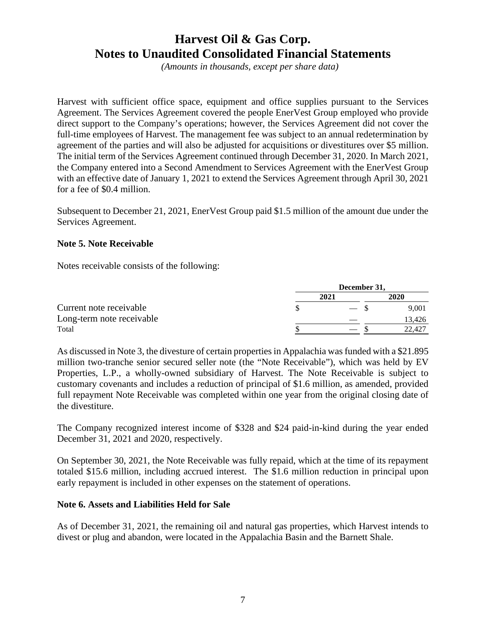*(Amounts in thousands, except per share data)*

Harvest with sufficient office space, equipment and office supplies pursuant to the Services Agreement. The Services Agreement covered the people EnerVest Group employed who provide direct support to the Company's operations; however, the Services Agreement did not cover the full-time employees of Harvest. The management fee was subject to an annual redetermination by agreement of the parties and will also be adjusted for acquisitions or divestitures over \$5 million. The initial term of the Services Agreement continued through December 31, 2020. In March 2021, the Company entered into a Second Amendment to Services Agreement with the EnerVest Group with an effective date of January 1, 2021 to extend the Services Agreement through April 30, 2021 for a fee of \$0.4 million.

Subsequent to December 21, 2021, EnerVest Group paid \$1.5 million of the amount due under the Services Agreement.

#### **Note 5. Note Receivable**

Notes receivable consists of the following:

|                           | December 31, |      |        |  |
|---------------------------|--------------|------|--------|--|
|                           |              | 2021 | 2020   |  |
| Current note receivable   |              |      | 9.001  |  |
| Long-term note receivable |              |      | 13.426 |  |
| Total                     |              |      | 22,427 |  |

As discussed in Note 3, the divesture of certain properties in Appalachia was funded with a \$21.895 million two-tranche senior secured seller note (the "Note Receivable"), which was held by EV Properties, L.P., a wholly-owned subsidiary of Harvest. The Note Receivable is subject to customary covenants and includes a reduction of principal of \$1.6 million, as amended, provided full repayment Note Receivable was completed within one year from the original closing date of the divestiture.

The Company recognized interest income of \$328 and \$24 paid-in-kind during the year ended December 31, 2021 and 2020, respectively.

On September 30, 2021, the Note Receivable was fully repaid, which at the time of its repayment totaled \$15.6 million, including accrued interest. The \$1.6 million reduction in principal upon early repayment is included in other expenses on the statement of operations.

#### **Note 6. Assets and Liabilities Held for Sale**

As of December 31, 2021, the remaining oil and natural gas properties, which Harvest intends to divest or plug and abandon, were located in the Appalachia Basin and the Barnett Shale.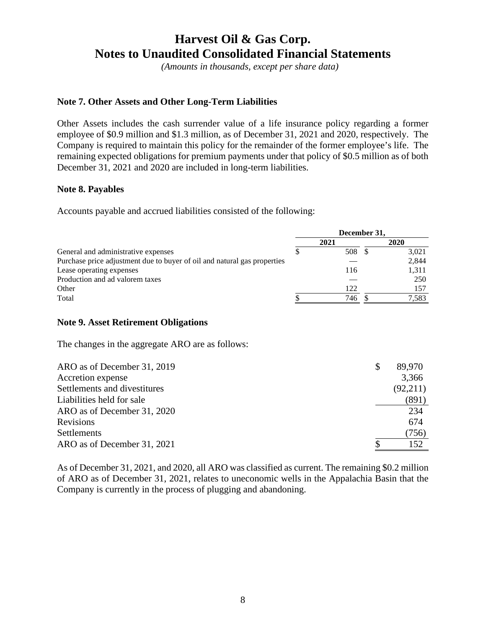*(Amounts in thousands, except per share data)*

### **Note 7. Other Assets and Other Long-Term Liabilities**

Other Assets includes the cash surrender value of a life insurance policy regarding a former employee of \$0.9 million and \$1.3 million, as of December 31, 2021 and 2020, respectively. The Company is required to maintain this policy for the remainder of the former employee's life. The remaining expected obligations for premium payments under that policy of \$0.5 million as of both December 31, 2021 and 2020 are included in long-term liabilities.

#### **Note 8. Payables**

Accounts payable and accrued liabilities consisted of the following:

|                                                                          | December 31, |        |     |          |
|--------------------------------------------------------------------------|--------------|--------|-----|----------|
|                                                                          |              | 2021   |     | 2020     |
| General and administrative expenses                                      | \$           | 508 \$ |     | 3,021    |
| Purchase price adjustment due to buyer of oil and natural gas properties |              |        |     | 2,844    |
| Lease operating expenses                                                 |              | 116    |     | 1,311    |
| Production and ad valorem taxes                                          |              |        |     | 250      |
| Other                                                                    |              | 122    |     | 157      |
| Total                                                                    |              | 746    | \$. | 7,583    |
| <b>Note 9. Asset Retirement Obligations</b>                              |              |        |     |          |
| The changes in the aggregate ARO are as follows:                         |              |        |     |          |
| ARO as of December 31, 2019                                              |              |        | \$  | 89,970   |
| Accretion expense                                                        |              |        |     | 3,366    |
| Settlements and divestitures                                             |              |        |     | (92,211) |
| Liabilities held for sale                                                |              |        |     | (891)    |
| ARO as of December 31, 2020                                              |              |        |     | 234      |
|                                                                          |              |        |     |          |

| Revisions                   | 674   |
|-----------------------------|-------|
| Settlements                 | (756) |
| ARO as of December 31, 2021 | 152   |
|                             |       |

As of December 31, 2021, and 2020, all ARO was classified as current. The remaining \$0.2 million of ARO as of December 31, 2021, relates to uneconomic wells in the Appalachia Basin that the Company is currently in the process of plugging and abandoning.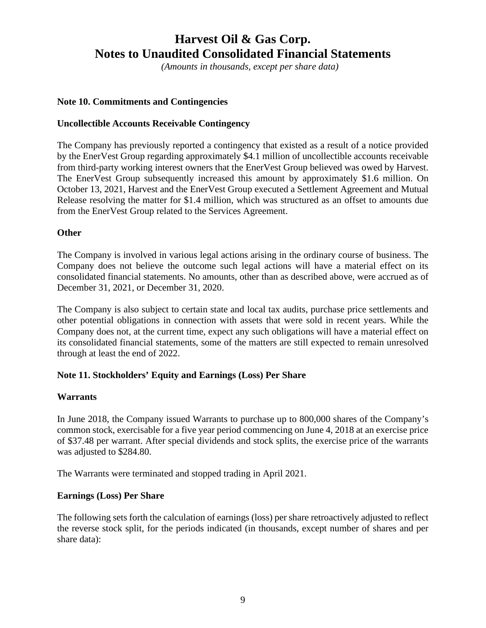*(Amounts in thousands, except per share data)*

### **Note 10. Commitments and Contingencies**

#### **Uncollectible Accounts Receivable Contingency**

The Company has previously reported a contingency that existed as a result of a notice provided by the EnerVest Group regarding approximately \$4.1 million of uncollectible accounts receivable from third-party working interest owners that the EnerVest Group believed was owed by Harvest. The EnerVest Group subsequently increased this amount by approximately \$1.6 million. On October 13, 2021, Harvest and the EnerVest Group executed a Settlement Agreement and Mutual Release resolving the matter for \$1.4 million, which was structured as an offset to amounts due from the EnerVest Group related to the Services Agreement.

### **Other**

The Company is involved in various legal actions arising in the ordinary course of business. The Company does not believe the outcome such legal actions will have a material effect on its consolidated financial statements. No amounts, other than as described above, were accrued as of December 31, 2021, or December 31, 2020.

The Company is also subject to certain state and local tax audits, purchase price settlements and other potential obligations in connection with assets that were sold in recent years. While the Company does not, at the current time, expect any such obligations will have a material effect on its consolidated financial statements, some of the matters are still expected to remain unresolved through at least the end of 2022.

### **Note 11. Stockholders' Equity and Earnings (Loss) Per Share**

#### **Warrants**

In June 2018, the Company issued Warrants to purchase up to 800,000 shares of the Company's common stock, exercisable for a five year period commencing on June 4, 2018 at an exercise price of \$37.48 per warrant. After special dividends and stock splits, the exercise price of the warrants was adjusted to \$284.80.

The Warrants were terminated and stopped trading in April 2021.

### **Earnings (Loss) Per Share**

The following sets forth the calculation of earnings (loss) per share retroactively adjusted to reflect the reverse stock split, for the periods indicated (in thousands, except number of shares and per share data):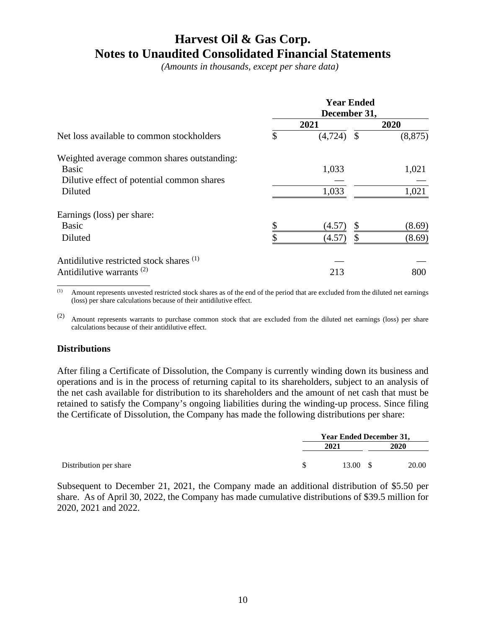*(Amounts in thousands, except per share data)*

|                                                       | <b>Year Ended</b><br>December 31, |          |               |          |  |  |  |
|-------------------------------------------------------|-----------------------------------|----------|---------------|----------|--|--|--|
|                                                       |                                   | 2021     |               | 2020     |  |  |  |
| Net loss available to common stockholders             | \$                                | (4, 724) | $\mathcal{S}$ | (8, 875) |  |  |  |
| Weighted average common shares outstanding:           |                                   |          |               |          |  |  |  |
| <b>Basic</b>                                          |                                   | 1,033    |               | 1,021    |  |  |  |
| Dilutive effect of potential common shares<br>Diluted |                                   | 1,033    |               | 1,021    |  |  |  |
|                                                       |                                   |          |               |          |  |  |  |
| Earnings (loss) per share:                            |                                   |          |               |          |  |  |  |
| <b>Basic</b>                                          | \$                                | (4.57)   | \$            | (8.69)   |  |  |  |
| Diluted                                               |                                   | (4.57)   | \$            | (8.69)   |  |  |  |
| Antidilutive restricted stock shares <sup>(1)</sup>   |                                   |          |               |          |  |  |  |
| Antidilutive warrants <sup>(2)</sup>                  |                                   | 213      |               | 800      |  |  |  |
|                                                       |                                   |          |               |          |  |  |  |

(1) Amount represents unvested restricted stock shares as of the end of the period that are excluded from the diluted net earnings (loss) per share calculations because of their antidilutive effect.

(2) Amount represents warrants to purchase common stock that are excluded from the diluted net earnings (loss) per share calculations because of their antidilutive effect.

#### **Distributions**

After filing a Certificate of Dissolution, the Company is currently winding down its business and operations and is in the process of returning capital to its shareholders, subject to an analysis of the net cash available for distribution to its shareholders and the amount of net cash that must be retained to satisfy the Company's ongoing liabilities during the winding-up process. Since filing the Certificate of Dissolution, the Company has made the following distributions per share:

|                        | <b>Year Ended December 31,</b> |       |  |
|------------------------|--------------------------------|-------|--|
|                        | 2021                           | 2020  |  |
| Distribution per share | 13.00 S                        | 20.00 |  |

Subsequent to December 21, 2021, the Company made an additional distribution of \$5.50 per share. As of April 30, 2022, the Company has made cumulative distributions of \$39.5 million for 2020, 2021 and 2022.